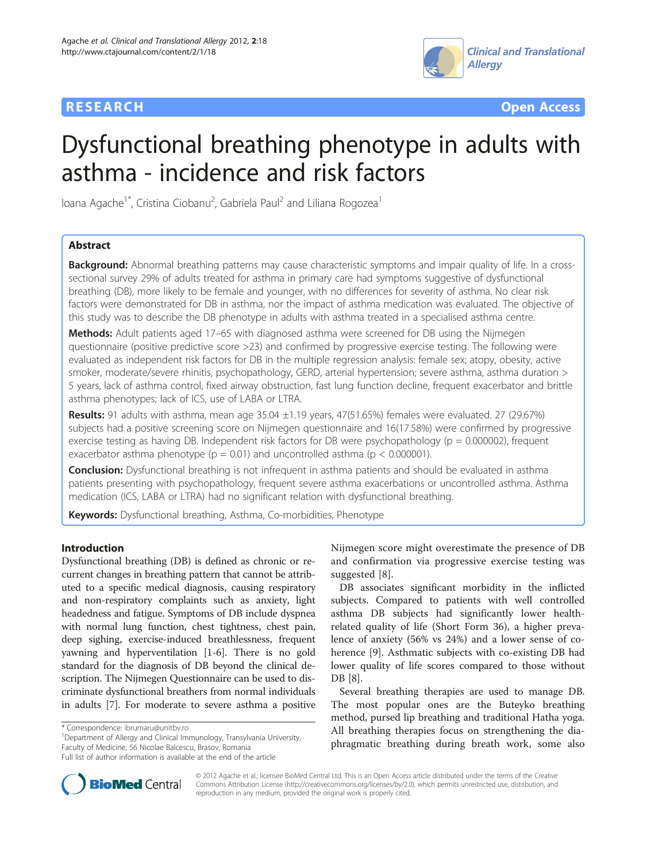



# Dysfunctional breathing phenotype in adults with asthma - incidence and risk factors

Ioana Agache<sup>1\*</sup>, Cristina Ciobanu<sup>2</sup>, Gabriela Paul<sup>2</sup> and Liliana Rogozea<sup>1</sup>

# Abstract

Background: Abnormal breathing patterns may cause characteristic symptoms and impair quality of life. In a crosssectional survey 29% of adults treated for asthma in primary care had symptoms suggestive of dysfunctional breathing (DB), more likely to be female and younger, with no differences for severity of asthma. No clear risk factors were demonstrated for DB in asthma, nor the impact of asthma medication was evaluated. The objective of this study was to describe the DB phenotype in adults with asthma treated in a specialised asthma centre.

Methods: Adult patients aged 17–65 with diagnosed asthma were screened for DB using the Nijmegen questionnaire (positive predictive score >23) and confirmed by progressive exercise testing. The following were evaluated as independent risk factors for DB in the multiple regression analysis: female sex; atopy, obesity, active smoker, moderate/severe rhinitis, psychopathology, GERD, arterial hypertension; severe asthma, asthma duration > 5 years, lack of asthma control, fixed airway obstruction, fast lung function decline, frequent exacerbator and brittle asthma phenotypes; lack of ICS, use of LABA or LTRA.

Results: 91 adults with asthma, mean age 35.04 ±1.19 years, 47(51.65%) females were evaluated. 27 (29.67%) subjects had a positive screening score on Nijmegen questionnaire and 16(17.58%) were confirmed by progressive exercise testing as having DB. Independent risk factors for DB were psychopathology ( $p = 0.000002$ ), frequent exacerbator asthma phenotype ( $p = 0.01$ ) and uncontrolled asthma ( $p < 0.000001$ ).

**Conclusion:** Dysfunctional breathing is not infrequent in asthma patients and should be evaluated in asthma patients presenting with psychopathology, frequent severe asthma exacerbations or uncontrolled asthma. Asthma medication (ICS, LABA or LTRA) had no significant relation with dysfunctional breathing.

Keywords: Dysfunctional breathing, Asthma, Co-morbidities, Phenotype

# Introduction

Dysfunctional breathing (DB) is defined as chronic or recurrent changes in breathing pattern that cannot be attributed to a specific medical diagnosis, causing respiratory and non-respiratory complaints such as anxiety, light headedness and fatigue. Symptoms of DB include dyspnea with normal lung function, chest tightness, chest pain, deep sighing, exercise-induced breathlessness, frequent yawning and hyperventilation [[1-6\]](#page-5-0). There is no gold standard for the diagnosis of DB beyond the clinical description. The Nijmegen Questionnaire can be used to discriminate dysfunctional breathers from normal individuals in adults [[7\]](#page-5-0). For moderate to severe asthma a positive

<sup>1</sup>Department of Allergy and Clinical Immunology, Transylvania University, Faculty of Medicine, 56 Nicolae Balcescu, Brasov, Romania

Nijmegen score might overestimate the presence of DB and confirmation via progressive exercise testing was suggested [[8\]](#page-5-0).

DB associates significant morbidity in the inflicted subjects. Compared to patients with well controlled asthma DB subjects had significantly lower healthrelated quality of life (Short Form 36), a higher prevalence of anxiety (56% vs 24%) and a lower sense of coherence [\[9](#page-5-0)]. Asthmatic subjects with co-existing DB had lower quality of life scores compared to those without DB [[8\]](#page-5-0).

Several breathing therapies are used to manage DB. The most popular ones are the Buteyko breathing method, pursed lip breathing and traditional Hatha yoga. All breathing therapies focus on strengthening the diaphragmatic breathing during breath work, some also



© 2012 Agache et al.; licensee BioMed Central Ltd. This is an Open Access article distributed under the terms of the Creative Commons Attribution License [\(http://creativecommons.org/licenses/by/2.0\)](http://creativecommons.org/licenses/by/2.0), which permits unrestricted use, distribution, and reproduction in any medium, provided the original work is properly cited.

<sup>\*</sup> Correspondence: [ibrumaru@unitbv.ro](mailto:ibrumaru@unitbv.ro) <sup>1</sup>

Full list of author information is available at the end of the article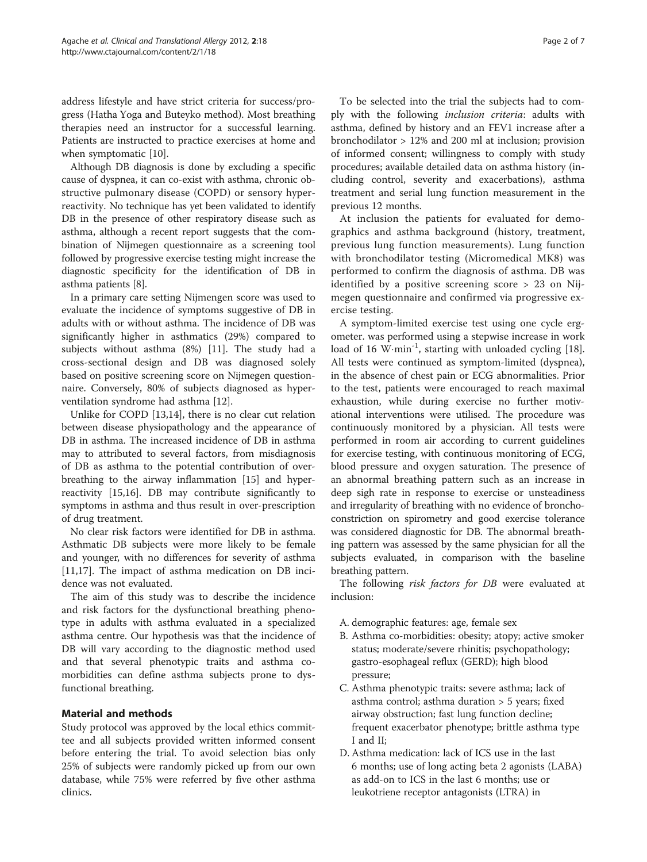address lifestyle and have strict criteria for success/progress (Hatha Yoga and Buteyko method). Most breathing therapies need an instructor for a successful learning. Patients are instructed to practice exercises at home and when symptomatic [\[10](#page-5-0)].

Although DB diagnosis is done by excluding a specific cause of dyspnea, it can co-exist with asthma, chronic obstructive pulmonary disease (COPD) or sensory hyperreactivity. No technique has yet been validated to identify DB in the presence of other respiratory disease such as asthma, although a recent report suggests that the combination of Nijmegen questionnaire as a screening tool followed by progressive exercise testing might increase the diagnostic specificity for the identification of DB in asthma patients [\[8](#page-5-0)].

In a primary care setting Nijmengen score was used to evaluate the incidence of symptoms suggestive of DB in adults with or without asthma. The incidence of DB was significantly higher in asthmatics (29%) compared to subjects without asthma (8%) [[11\]](#page-5-0). The study had a cross-sectional design and DB was diagnosed solely based on positive screening score on Nijmegen questionnaire. Conversely, 80% of subjects diagnosed as hyperventilation syndrome had asthma [\[12](#page-5-0)].

Unlike for COPD [\[13,14\]](#page-5-0), there is no clear cut relation between disease physiopathology and the appearance of DB in asthma. The increased incidence of DB in asthma may to attributed to several factors, from misdiagnosis of DB as asthma to the potential contribution of overbreathing to the airway inflammation [\[15\]](#page-5-0) and hyperreactivity [\[15,16\]](#page-5-0). DB may contribute significantly to symptoms in asthma and thus result in over-prescription of drug treatment.

No clear risk factors were identified for DB in asthma. Asthmatic DB subjects were more likely to be female and younger, with no differences for severity of asthma [[11,17\]](#page-5-0). The impact of asthma medication on DB incidence was not evaluated.

The aim of this study was to describe the incidence and risk factors for the dysfunctional breathing phenotype in adults with asthma evaluated in a specialized asthma centre. Our hypothesis was that the incidence of DB will vary according to the diagnostic method used and that several phenotypic traits and asthma comorbidities can define asthma subjects prone to dysfunctional breathing.

# Material and methods

Study protocol was approved by the local ethics committee and all subjects provided written informed consent before entering the trial. To avoid selection bias only 25% of subjects were randomly picked up from our own database, while 75% were referred by five other asthma clinics.

To be selected into the trial the subjects had to comply with the following inclusion criteria: adults with asthma, defined by history and an FEV1 increase after a bronchodilator > 12% and 200 ml at inclusion; provision of informed consent; willingness to comply with study procedures; available detailed data on asthma history (including control, severity and exacerbations), asthma treatment and serial lung function measurement in the previous 12 months.

At inclusion the patients for evaluated for demographics and asthma background (history, treatment, previous lung function measurements). Lung function with bronchodilator testing (Micromedical MK8) was performed to confirm the diagnosis of asthma. DB was identified by a positive screening score > 23 on Nijmegen questionnaire and confirmed via progressive exercise testing.

A symptom-limited exercise test using one cycle ergometer. was performed using a stepwise increase in work load of 16 W·min<sup>-1</sup>, starting with unloaded cycling [\[18](#page-5-0)]. All tests were continued as symptom-limited (dyspnea), in the absence of chest pain or ECG abnormalities. Prior to the test, patients were encouraged to reach maximal exhaustion, while during exercise no further motivational interventions were utilised. The procedure was continuously monitored by a physician. All tests were performed in room air according to current guidelines for exercise testing, with continuous monitoring of ECG, blood pressure and oxygen saturation. The presence of an abnormal breathing pattern such as an increase in deep sigh rate in response to exercise or unsteadiness and irregularity of breathing with no evidence of bronchoconstriction on spirometry and good exercise tolerance was considered diagnostic for DB. The abnormal breathing pattern was assessed by the same physician for all the subjects evaluated, in comparison with the baseline breathing pattern.

The following risk factors for DB were evaluated at inclusion:

- A. demographic features: age, female sex
- B. Asthma co-morbidities: obesity; atopy; active smoker status; moderate/severe rhinitis; psychopathology; gastro-esophageal reflux (GERD); high blood pressure;
- C. Asthma phenotypic traits: severe asthma; lack of asthma control; asthma duration > 5 years; fixed airway obstruction; fast lung function decline; frequent exacerbator phenotype; brittle asthma type I and II;
- D. Asthma medication: lack of ICS use in the last 6 months; use of long acting beta 2 agonists (LABA) as add-on to ICS in the last 6 months; use or leukotriene receptor antagonists (LTRA) in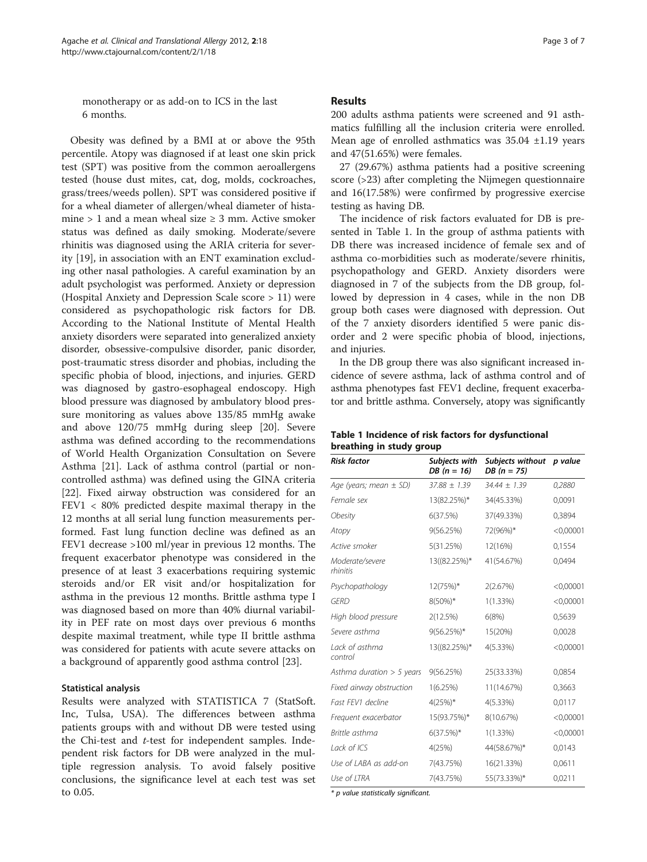<span id="page-2-0"></span>monotherapy or as add-on to ICS in the last 6 months.

Obesity was defined by a BMI at or above the 95th percentile. Atopy was diagnosed if at least one skin prick test (SPT) was positive from the common aeroallergens tested (house dust mites, cat, dog, molds, cockroaches, grass/trees/weeds pollen). SPT was considered positive if for a wheal diameter of allergen/wheal diameter of histamine > 1 and a mean wheal size  $\geq$  3 mm. Active smoker status was defined as daily smoking. Moderate/severe rhinitis was diagnosed using the ARIA criteria for severity [\[19\]](#page-5-0), in association with an ENT examination excluding other nasal pathologies. A careful examination by an adult psychologist was performed. Anxiety or depression (Hospital Anxiety and Depression Scale score > 11) were considered as psychopathologic risk factors for DB. According to the National Institute of Mental Health anxiety disorders were separated into generalized anxiety disorder, obsessive-compulsive disorder, panic disorder, post-traumatic stress disorder and phobias, including the specific phobia of blood, injections, and injuries. GERD was diagnosed by gastro-esophageal endoscopy. High blood pressure was diagnosed by ambulatory blood pressure monitoring as values above 135/85 mmHg awake and above 120/75 mmHg during sleep [\[20](#page-5-0)]. Severe asthma was defined according to the recommendations of World Health Organization Consultation on Severe Asthma [[21\]](#page-5-0). Lack of asthma control (partial or noncontrolled asthma) was defined using the GINA criteria [[22\]](#page-5-0). Fixed airway obstruction was considered for an FEV1 < 80% predicted despite maximal therapy in the 12 months at all serial lung function measurements performed. Fast lung function decline was defined as an FEV1 decrease >100 ml/year in previous 12 months. The frequent exacerbator phenotype was considered in the presence of at least 3 exacerbations requiring systemic steroids and/or ER visit and/or hospitalization for asthma in the previous 12 months. Brittle asthma type I was diagnosed based on more than 40% diurnal variability in PEF rate on most days over previous 6 months despite maximal treatment, while type II brittle asthma was considered for patients with acute severe attacks on a background of apparently good asthma control [[23\]](#page-5-0).

#### Statistical analysis

Results were analyzed with STATISTICA 7 (StatSoft. Inc, Tulsa, USA). The differences between asthma patients groups with and without DB were tested using the Chi-test and  $t$ -test for independent samples. Independent risk factors for DB were analyzed in the multiple regression analysis. To avoid falsely positive conclusions, the significance level at each test was set to 0.05.

### Results

200 adults asthma patients were screened and 91 asthmatics fulfilling all the inclusion criteria were enrolled. Mean age of enrolled asthmatics was 35.04 ±1.19 years and 47(51.65%) were females.

27 (29.67%) asthma patients had a positive screening score (>23) after completing the Nijmegen questionnaire and 16(17.58%) were confirmed by progressive exercise testing as having DB.

The incidence of risk factors evaluated for DB is presented in Table 1. In the group of asthma patients with DB there was increased incidence of female sex and of asthma co-morbidities such as moderate/severe rhinitis, psychopathology and GERD. Anxiety disorders were diagnosed in 7 of the subjects from the DB group, followed by depression in 4 cases, while in the non DB group both cases were diagnosed with depression. Out of the 7 anxiety disorders identified 5 were panic disorder and 2 were specific phobia of blood, injections, and injuries.

In the DB group there was also significant increased incidence of severe asthma, lack of asthma control and of asthma phenotypes fast FEV1 decline, frequent exacerbator and brittle asthma. Conversely, atopy was significantly

| Table 1 Incidence of risk factors for dysfunctional |  |
|-----------------------------------------------------|--|
| breathing in study group                            |  |

| <b>Risk factor</b>          | Subjects with<br>$DB (n = 16)$ | Subjects without p value<br>$DB (n = 75)$ |           |
|-----------------------------|--------------------------------|-------------------------------------------|-----------|
| Age (years; mean $\pm$ SD)  | $37.88 \pm 1.39$               | $34.44 \pm 1.39$                          | 0,2880    |
| Female sex                  | 13(82.25%)*                    | 34(45.33%)                                | 0,0091    |
| <b>Obesity</b>              | 6(37.5%)                       | 37(49.33%)                                | 0.3894    |
| Atopy                       | 9(56.25%)                      | 72(96%)*                                  | < 0,00001 |
| Active smoker               | 5(31.25%)                      | 12(16%)                                   | 0,1554    |
| Moderate/severe<br>rhinitis | 13((82.25%)*                   | 41(54.67%)                                | 0,0494    |
| Psychopathology             | 12(75%)*                       | 2(2.67%)                                  | < 0,00001 |
| GFRD                        | $8(50\%)*$                     | $1(1.33\%)$                               | < 0,00001 |
| High blood pressure         | 2(12.5%)                       | 6(8%)                                     | 0,5639    |
| Severe asthma               | 9(56.25%)*                     | 15(20%)                                   | 0,0028    |
| Lack of asthma<br>control   | 13((82.25%)*                   | $4(5.33\%)$                               | < 0,00001 |
| Asthma duration $> 5$ years | 9(56.25%)                      | 25(33.33%)                                | 0,0854    |
| Fixed airway obstruction    | 1(6.25%)                       | 11(14.67%)                                | 0,3663    |
| Fast FFV1 decline           | $4(25%)$ *                     | 4(5.33%)                                  | 0,0117    |
| Frequent exacerbator        | 15(93.75%)*                    | 8(10.67%)                                 | < 0,00001 |
| Brittle asthma              | $6(37.5%)$ *                   | $1(1.33\%)$                               | < 0,00001 |
| Lack of ICS                 | 4(25%)                         | 44(58.67%)*                               | 0,0143    |
| Use of LABA as add-on       | 7(43.75%)                      | 16(21.33%)                                | 0,0611    |
| Use of ITRA                 | 7(43.75%)                      | 55(73.33%)*                               | 0,0211    |

\* p value statistically significant.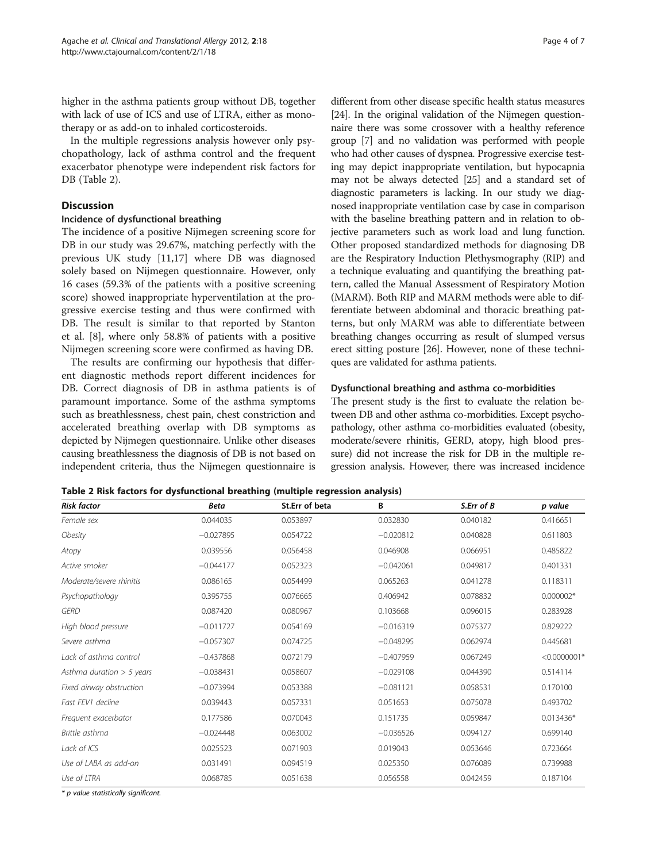<span id="page-3-0"></span>higher in the asthma patients group without DB, together with lack of use of ICS and use of LTRA, either as monotherapy or as add-on to inhaled corticosteroids.

In the multiple regressions analysis however only psychopathology, lack of asthma control and the frequent exacerbator phenotype were independent risk factors for DB (Table 2).

# **Discussion**

## Incidence of dysfunctional breathing

The incidence of a positive Nijmegen screening score for DB in our study was 29.67%, matching perfectly with the previous UK study [\[11,17\]](#page-5-0) where DB was diagnosed solely based on Nijmegen questionnaire. However, only 16 cases (59.3% of the patients with a positive screening score) showed inappropriate hyperventilation at the progressive exercise testing and thus were confirmed with DB. The result is similar to that reported by Stanton et al. [\[8](#page-5-0)], where only 58.8% of patients with a positive Nijmegen screening score were confirmed as having DB.

The results are confirming our hypothesis that different diagnostic methods report different incidences for DB. Correct diagnosis of DB in asthma patients is of paramount importance. Some of the asthma symptoms such as breathlessness, chest pain, chest constriction and accelerated breathing overlap with DB symptoms as depicted by Nijmegen questionnaire. Unlike other diseases causing breathlessness the diagnosis of DB is not based on independent criteria, thus the Nijmegen questionnaire is

different from other disease specific health status measures [[24](#page-5-0)]. In the original validation of the Nijmegen questionnaire there was some crossover with a healthy reference group [[7](#page-5-0)] and no validation was performed with people who had other causes of dyspnea. Progressive exercise testing may depict inappropriate ventilation, but hypocapnia may not be always detected [[25](#page-5-0)] and a standard set of diagnostic parameters is lacking. In our study we diagnosed inappropriate ventilation case by case in comparison with the baseline breathing pattern and in relation to objective parameters such as work load and lung function. Other proposed standardized methods for diagnosing DB are the Respiratory Induction Plethysmography (RIP) and a technique evaluating and quantifying the breathing pattern, called the Manual Assessment of Respiratory Motion (MARM). Both RIP and MARM methods were able to differentiate between abdominal and thoracic breathing patterns, but only MARM was able to differentiate between breathing changes occurring as result of slumped versus erect sitting posture [[26](#page-5-0)]. However, none of these techniques are validated for asthma patients.

# Dysfunctional breathing and asthma co-morbidities

The present study is the first to evaluate the relation between DB and other asthma co-morbidities. Except psychopathology, other asthma co-morbidities evaluated (obesity, moderate/severe rhinitis, GERD, atopy, high blood pressure) did not increase the risk for DB in the multiple regression analysis. However, there was increased incidence

|  |  |  | Table 2 Risk factors for dysfunctional breathing (multiple regression analysis) |
|--|--|--|---------------------------------------------------------------------------------|
|--|--|--|---------------------------------------------------------------------------------|

| <b>Risk factor</b>          | <b>Beta</b> | St.Err of beta | В           | S.Err of B | p value        |
|-----------------------------|-------------|----------------|-------------|------------|----------------|
| Female sex                  | 0.044035    | 0.053897       | 0.032830    | 0.040182   | 0.416651       |
| Obesity                     | $-0.027895$ | 0.054722       | $-0.020812$ | 0.040828   | 0.611803       |
| Atopy                       | 0.039556    | 0.056458       | 0.046908    | 0.066951   | 0.485822       |
| Active smoker               | $-0.044177$ | 0.052323       | $-0.042061$ | 0.049817   | 0.401331       |
| Moderate/severe rhinitis    | 0.086165    | 0.054499       | 0.065263    | 0.041278   | 0.118311       |
| Psychopathology             | 0.395755    | 0.076665       | 0.406942    | 0.078832   | $0.000002*$    |
| <b>GERD</b>                 | 0.087420    | 0.080967       | 0.103668    | 0.096015   | 0.283928       |
| High blood pressure         | $-0.011727$ | 0.054169       | $-0.016319$ | 0.075377   | 0.829222       |
| Severe asthma               | $-0.057307$ | 0.074725       | $-0.048295$ | 0.062974   | 0.445681       |
| Lack of asthma control      | $-0.437868$ | 0.072179       | $-0.407959$ | 0.067249   | $< 0.0000001*$ |
| Asthma duration $>$ 5 years | $-0.038431$ | 0.058607       | $-0.029108$ | 0.044390   | 0.514114       |
| Fixed airway obstruction    | $-0.073994$ | 0.053388       | $-0.081121$ | 0.058531   | 0.170100       |
| Fast FEV1 decline           | 0.039443    | 0.057331       | 0.051653    | 0.075078   | 0.493702       |
| Frequent exacerbator        | 0.177586    | 0.070043       | 0.151735    | 0.059847   | $0.013436*$    |
| Brittle asthma              | $-0.024448$ | 0.063002       | $-0.036526$ | 0.094127   | 0.699140       |
| Lack of ICS                 | 0.025523    | 0.071903       | 0.019043    | 0.053646   | 0.723664       |
| Use of LABA as add-on       | 0.031491    | 0.094519       | 0.025350    | 0.076089   | 0.739988       |
| Use of LTRA                 | 0.068785    | 0.051638       | 0.056558    | 0.042459   | 0.187104       |

\* p value statistically significant.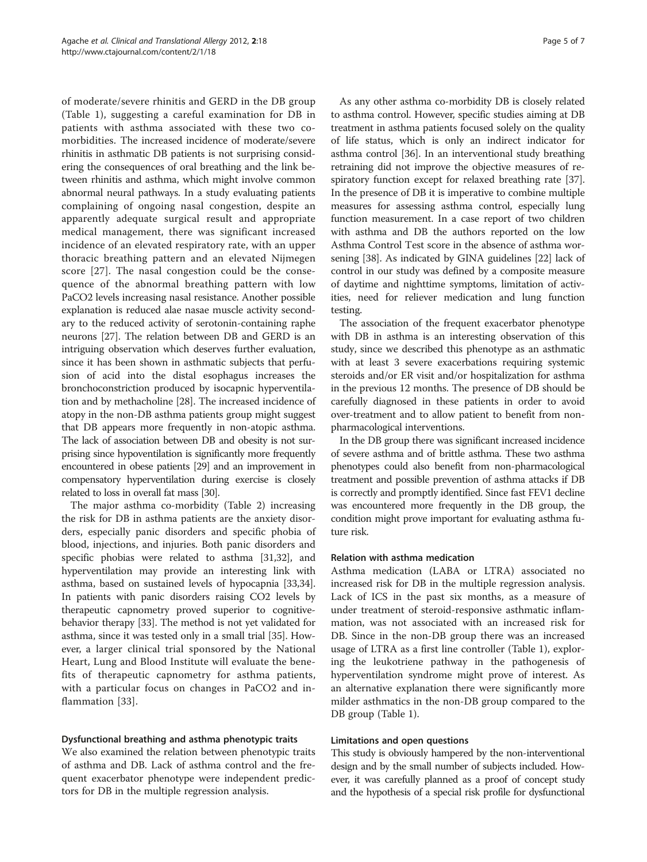of moderate/severe rhinitis and GERD in the DB group (Table [1](#page-2-0)), suggesting a careful examination for DB in patients with asthma associated with these two comorbidities. The increased incidence of moderate/severe rhinitis in asthmatic DB patients is not surprising considering the consequences of oral breathing and the link between rhinitis and asthma, which might involve common abnormal neural pathways. In a study evaluating patients complaining of ongoing nasal congestion, despite an apparently adequate surgical result and appropriate medical management, there was significant increased incidence of an elevated respiratory rate, with an upper thoracic breathing pattern and an elevated Nijmegen score [[27\]](#page-5-0). The nasal congestion could be the consequence of the abnormal breathing pattern with low PaCO2 levels increasing nasal resistance. Another possible explanation is reduced alae nasae muscle activity secondary to the reduced activity of serotonin-containing raphe neurons [\[27\]](#page-5-0). The relation between DB and GERD is an intriguing observation which deserves further evaluation, since it has been shown in asthmatic subjects that perfusion of acid into the distal esophagus increases the bronchoconstriction produced by isocapnic hyperventilation and by methacholine [\[28\]](#page-6-0). The increased incidence of atopy in the non-DB asthma patients group might suggest that DB appears more frequently in non-atopic asthma. The lack of association between DB and obesity is not surprising since hypoventilation is significantly more frequently encountered in obese patients [\[29](#page-6-0)] and an improvement in compensatory hyperventilation during exercise is closely related to loss in overall fat mass [\[30](#page-6-0)].

The major asthma co-morbidity (Table [2](#page-3-0)) increasing the risk for DB in asthma patients are the anxiety disorders, especially panic disorders and specific phobia of blood, injections, and injuries. Both panic disorders and specific phobias were related to asthma [[31,32](#page-6-0)], and hyperventilation may provide an interesting link with asthma, based on sustained levels of hypocapnia [\[33,34](#page-6-0)]. In patients with panic disorders raising CO2 levels by therapeutic capnometry proved superior to cognitivebehavior therapy [[33\]](#page-6-0). The method is not yet validated for asthma, since it was tested only in a small trial [\[35\]](#page-6-0). However, a larger clinical trial sponsored by the National Heart, Lung and Blood Institute will evaluate the benefits of therapeutic capnometry for asthma patients, with a particular focus on changes in PaCO2 and inflammation [\[33](#page-6-0)].

# Dysfunctional breathing and asthma phenotypic traits

We also examined the relation between phenotypic traits of asthma and DB. Lack of asthma control and the frequent exacerbator phenotype were independent predictors for DB in the multiple regression analysis.

As any other asthma co-morbidity DB is closely related to asthma control. However, specific studies aiming at DB treatment in asthma patients focused solely on the quality of life status, which is only an indirect indicator for asthma control [[36](#page-6-0)]. In an interventional study breathing retraining did not improve the objective measures of respiratory function except for relaxed breathing rate [[37](#page-6-0)]. In the presence of DB it is imperative to combine multiple measures for assessing asthma control, especially lung function measurement. In a case report of two children with asthma and DB the authors reported on the low Asthma Control Test score in the absence of asthma worsening [[38](#page-6-0)]. As indicated by GINA guidelines [\[22](#page-5-0)] lack of control in our study was defined by a composite measure of daytime and nighttime symptoms, limitation of activities, need for reliever medication and lung function testing.

The association of the frequent exacerbator phenotype with DB in asthma is an interesting observation of this study, since we described this phenotype as an asthmatic with at least 3 severe exacerbations requiring systemic steroids and/or ER visit and/or hospitalization for asthma in the previous 12 months. The presence of DB should be carefully diagnosed in these patients in order to avoid over-treatment and to allow patient to benefit from nonpharmacological interventions.

In the DB group there was significant increased incidence of severe asthma and of brittle asthma. These two asthma phenotypes could also benefit from non-pharmacological treatment and possible prevention of asthma attacks if DB is correctly and promptly identified. Since fast FEV1 decline was encountered more frequently in the DB group, the condition might prove important for evaluating asthma future risk.

#### Relation with asthma medication

Asthma medication (LABA or LTRA) associated no increased risk for DB in the multiple regression analysis. Lack of ICS in the past six months, as a measure of under treatment of steroid-responsive asthmatic inflammation, was not associated with an increased risk for DB. Since in the non-DB group there was an increased usage of LTRA as a first line controller (Table [1](#page-2-0)), exploring the leukotriene pathway in the pathogenesis of hyperventilation syndrome might prove of interest. As an alternative explanation there were significantly more milder asthmatics in the non-DB group compared to the DB group (Table [1\)](#page-2-0).

#### Limitations and open questions

This study is obviously hampered by the non-interventional design and by the small number of subjects included. However, it was carefully planned as a proof of concept study and the hypothesis of a special risk profile for dysfunctional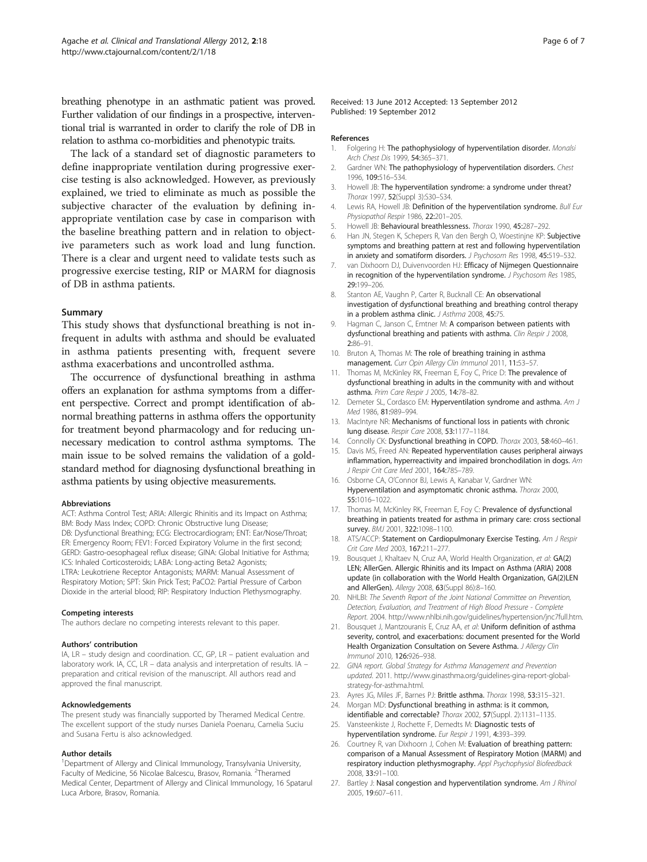<span id="page-5-0"></span>breathing phenotype in an asthmatic patient was proved. Further validation of our findings in a prospective, interventional trial is warranted in order to clarify the role of DB in relation to asthma co-morbidities and phenotypic traits.

The lack of a standard set of diagnostic parameters to define inappropriate ventilation during progressive exercise testing is also acknowledged. However, as previously explained, we tried to eliminate as much as possible the subjective character of the evaluation by defining inappropriate ventilation case by case in comparison with the baseline breathing pattern and in relation to objective parameters such as work load and lung function. There is a clear and urgent need to validate tests such as progressive exercise testing, RIP or MARM for diagnosis of DB in asthma patients.

#### Summary

This study shows that dysfunctional breathing is not infrequent in adults with asthma and should be evaluated in asthma patients presenting with, frequent severe asthma exacerbations and uncontrolled asthma.

The occurrence of dysfunctional breathing in asthma offers an explanation for asthma symptoms from a different perspective. Correct and prompt identification of abnormal breathing patterns in asthma offers the opportunity for treatment beyond pharmacology and for reducing unnecessary medication to control asthma symptoms. The main issue to be solved remains the validation of a goldstandard method for diagnosing dysfunctional breathing in asthma patients by using objective measurements.

#### Abbreviations

ACT: Asthma Control Test; ARIA: Allergic Rhinitis and its Impact on Asthma; BM: Body Mass Index; COPD: Chronic Obstructive lung Disease; DB: Dysfunctional Breathing; ECG: Electrocardiogram; ENT: Ear/Nose/Throat; ER: Emergency Room; FEV1: Forced Expiratory Volume in the first second; GERD: Gastro-oesophageal reflux disease; GINA: Global Initiative for Asthma; ICS: Inhaled Corticosteroids; LABA: Long-acting Beta2 Agonists; LTRA: Leukotriene Receptor Antagonists; MARM: Manual Assessment of Respiratory Motion; SPT: Skin Prick Test; PaCO2: Partial Pressure of Carbon Dioxide in the arterial blood; RIP: Respiratory Induction Plethysmography.

#### Competing interests

The authors declare no competing interests relevant to this paper.

#### Authors' contribution

IA, LR – study design and coordination. CC, GP, LR – patient evaluation and laboratory work. IA, CC, LR – data analysis and interpretation of results. IA – preparation and critical revision of the manuscript. All authors read and approved the final manuscript.

#### Acknowledgements

The present study was financially supported by Theramed Medical Centre. The excellent support of the study nurses Daniela Poenaru, Camelia Suciu and Susana Fertu is also acknowledged.

#### Author details

<sup>1</sup>Department of Allergy and Clinical Immunology, Transylvania University, Faculty of Medicine, 56 Nicolae Balcescu, Brasov, Romania. <sup>2</sup>Theramed Medical Center, Department of Allergy and Clinical Immunology, 16 Spatarul Luca Arbore, Brasov, Romania.

Received: 13 June 2012 Accepted: 13 September 2012 Published: 19 September 2012

#### References

- 1. Folgering H: The pathophysiology of hyperventilation disorder. Monalsi Arch Chest Dis 1999, 54:365–371.
- 2. Gardner WN: The pathophysiology of hyperventilation disorders. Chest 1996, 109:516–534.
- 3. Howell JB: The hyperventilation syndrome: a syndrome under threat? Thorax 1997, 52(Suppl 3):S30–S34.
- 4. Lewis RA, Howell JB: Definition of the hyperventilation syndrome. Bull Eur Physiopathol Respir 1986, 22:201–205.
- 5. Howell JB: Behavioural breathlessness. Thorax 1990, 45:287–292.
- 6. Han JN, Stegen K, Schepers R, Van den Bergh O, Woestinjne KP: Subjective symptoms and breathing pattern at rest and following hyperventilation in anxiety and somatiform disorders. J Psychosom Res 1998, 45:519–532.
- 7. van Dixhoorn DJ, Duivenvoorden HJ: Efficacy of Nijmegen Questionnaire in recognition of the hyperventilation syndrome. J Psychosom Res 1985, 29:199–206.
- 8. Stanton AE, Vaughn P, Carter R, Bucknall CE: An observational investigation of dysfunctional breathing and breathing control therapy in a problem asthma clinic. J Asthma 2008, 45:75.
- 9. Hagman C, Janson C, Emtner M: A comparison between patients with dysfunctional breathing and patients with asthma. Clin Respir J 2008, 2:86–91.
- 10. Bruton A, Thomas M: The role of breathing training in asthma management. Curr Opin Allergy Clin Immunol 2011, 11:53-57.
- 11. Thomas M, McKinley RK, Freeman E, Foy C, Price D: The prevalence of dysfunctional breathing in adults in the community with and without asthma. Prim Care Respir J 2005, 14:78–82.
- 12. Demeter SL, Cordasco EM: Hyperventilation syndrome and asthma. Am J Med 1986, 81:989–994.
- 13. MacIntyre NR: Mechanisms of functional loss in patients with chronic lung disease. Respir Care 2008, 53:1177–1184.
- 14. Connolly CK: Dysfunctional breathing in COPD. Thorax 2003, 58:460-461.
- 15. Davis MS, Freed AN: Repeated hyperventilation causes peripheral airways inflammation, hyperreactivity and impaired bronchodilation in dogs. Am J Respir Crit Care Med 2001, 164:785–789.
- 16. Osborne CA, O'Connor BJ, Lewis A, Kanabar V, Gardner WN: Hyperventilation and asymptomatic chronic asthma. Thorax 2000, 55:1016–1022.
- 17. Thomas M, McKinley RK, Freeman E, Foy C: Prevalence of dysfunctional breathing in patients treated for asthma in primary care: cross sectional survey. BMJ 2001, 322:1098-1100.
- 18. ATS/ACCP: Statement on Cardiopulmonary Exercise Testing. Am J Respir Crit Care Med 2003, 167:211–277.
- 19. Bousquet J, Khaltaev N, Cruz AA, World Health Organization, et al: GA(2) LEN; AllerGen. Allergic Rhinitis and its Impact on Asthma (ARIA) 2008 update (in collaboration with the World Health Organization, GA(2)LEN and AllerGen). Allergy 2008, 63(Suppl 86):8–160.
- 20. NHLBI: The Seventh Report of the Joint National Committee on Prevention, Detection, Evaluation, and Treatment of High Blood Pressure - Complete Report. 2004. http://www.nhlbi.nih.gov/guidelines/hypertension/jnc7full.htm.
- 21. Bousquet J, Mantzouranis E, Cruz AA, et al: Uniform definition of asthma severity, control, and exacerbations: document presented for the World Health Organization Consultation on Severe Asthma. J Allergy Clin Immunol 2010, 126:926–938.
- 22. GINA report. Global Strategy for Asthma Management and Prevention updated. 2011. [http://www.ginasthma.org/guidelines-gina-report-global](http://www.ginasthma.org/guidelines-gina-report-global-strategy-for-asthma.html)[strategy-for-asthma.html](http://www.ginasthma.org/guidelines-gina-report-global-strategy-for-asthma.html).
- 23. Ayres JG, Miles JF, Barnes PJ: Brittle asthma. Thorax 1998, 53:315-321.
- 24. Morgan MD: Dysfunctional breathing in asthma: is it common, identifiable and correctable? Thorax 2002, 57(Suppl. 2):1131–1135.
- 25. Vansteenkiste J, Rochette F, Demedts M: Diagnostic tests of hyperventilation syndrome. Eur Respir J 1991, 4:393-399.
- 26. Courtney R, van Dixhoorn J, Cohen M: Evaluation of breathing pattern: comparison of a Manual Assessment of Respiratory Motion (MARM) and respiratory induction plethysmography. Appl Psychophysiol Biofeedback 2008, 33:91–100.
- 27. Bartley J: Nasal congestion and hyperventilation syndrome. Am J Rhinol 2005, 19:607–611.